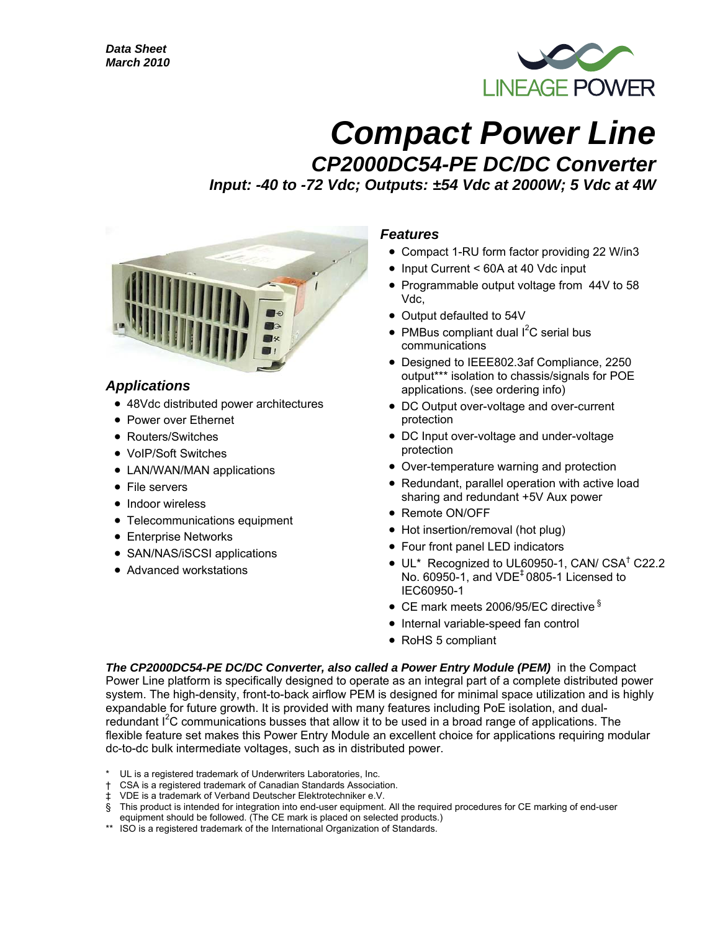

# *Compact Power Line*

*CP2000DC54-PE DC/DC Converter Input: -40 to -72 Vdc; Outputs: ±54 Vdc at 2000W; 5 Vdc at 4W* 



### *Applications*

- 48Vdc distributed power architectures
- Power over Ethernet
- Routers/Switches
- VoIP/Soft Switches
- LAN/WAN/MAN applications
- File servers
- Indoor wireless
- Telecommunications equipment
- Enterprise Networks
- SAN/NAS/iSCSI applications
- Advanced workstations

#### *Features*

- Compact 1-RU form factor providing 22 W/in3
- Input Current < 60A at 40 Vdc input
- Programmable output voltage from 44V to 58 Vdc,
- Output defaulted to 54V
- PMBus compliant dual  $I^2C$  serial bus communications
- Designed to IEEE802.3af Compliance, 2250 output\*\*\* isolation to chassis/signals for POE applications. (see ordering info)
- DC Output over-voltage and over-current protection
- DC Input over-voltage and under-voltage protection
- Over-temperature warning and protection
- Redundant, parallel operation with active load sharing and redundant +5V Aux power
- Remote ON/OFF
- Hot insertion/removal (hot plug)
- Four front panel LED indicators
- UL\* Recognized to UL60950-1, CAN/ CSA<sup>†</sup> C22.2 No. 60950-1, and VDE‡ 0805-1 Licensed to IEC60950-1
- CE mark meets 2006/95/EC directive §
- Internal variable-speed fan control
- RoHS 5 compliant

The CP2000DC54-PE DC/DC Converter, also called a Power Entry Module (PEM) in the Compact Power Line platform is specifically designed to operate as an integral part of a complete distributed power system. The high-density, front-to-back airflow PEM is designed for minimal space utilization and is highly expandable for future growth. It is provided with many features including PoE isolation, and dualredundant  $I<sup>2</sup>C$  communications busses that allow it to be used in a broad range of applications. The flexible feature set makes this Power Entry Module an excellent choice for applications requiring modular dc-to-dc bulk intermediate voltages, such as in distributed power.

- UL is a registered trademark of Underwriters Laboratories, Inc.
- † CSA is a registered trademark of Canadian Standards Association.
- ‡ VDE is a trademark of Verband Deutscher Elektrotechniker e.V.
- § This product is intended for integration into end-user equipment. All the required procedures for CE marking of end-user
- equipment should be followed. (The CE mark is placed on selected products.)
- \*\* ISO is a registered trademark of the International Organization of Standards.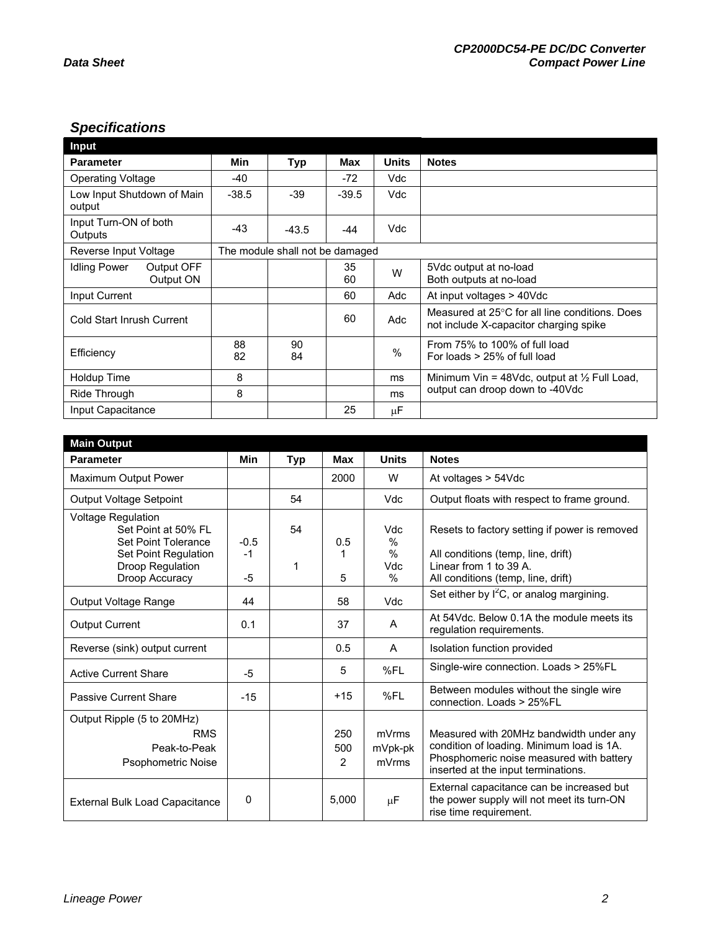# *Specifications*

| Input                                          |          |                                 |          |         |                                                                                          |
|------------------------------------------------|----------|---------------------------------|----------|---------|------------------------------------------------------------------------------------------|
| <b>Parameter</b>                               | Min      | <b>Typ</b>                      | Max      | Units   | <b>Notes</b>                                                                             |
| <b>Operating Voltage</b>                       | -40      |                                 | -72      | Vdc     |                                                                                          |
| Low Input Shutdown of Main<br>output           | $-38.5$  | $-39$                           | $-39.5$  | Vdc     |                                                                                          |
| Input Turn-ON of both<br>Outputs               | -43      | $-43.5$                         | -44      | Vdc     |                                                                                          |
| Reverse Input Voltage                          |          | The module shall not be damaged |          |         |                                                                                          |
| <b>Idling Power</b><br>Output OFF<br>Output ON |          |                                 | 35<br>60 | W       | 5Vdc output at no-load<br>Both outputs at no-load                                        |
| Input Current                                  |          |                                 | 60       | Adc     | At input voltages > 40Vdc                                                                |
| Cold Start Inrush Current                      |          |                                 | 60       | Adc     | Measured at 25°C for all line conditions. Does<br>not include X-capacitor charging spike |
| Efficiency                                     | 88<br>82 | 90<br>84                        |          | $\%$    | From 75% to 100% of full load<br>For loads > 25% of full load                            |
| Holdup Time                                    | 8        |                                 |          | ms      | Minimum Vin = 48Vdc, output at $\frac{1}{2}$ Full Load,                                  |
| Ride Through                                   | 8        |                                 |          | ms      | output can droop down to -40Vdc                                                          |
| Input Capacitance                              |          |                                 | 25       | $\mu$ F |                                                                                          |

| <b>Main Output</b>                                                                                                                    |                        |            |                 |                                 |                                                                                                                                                                         |
|---------------------------------------------------------------------------------------------------------------------------------------|------------------------|------------|-----------------|---------------------------------|-------------------------------------------------------------------------------------------------------------------------------------------------------------------------|
| <b>Parameter</b>                                                                                                                      | <b>Min</b>             | <b>Typ</b> | <b>Max</b>      | <b>Units</b>                    | <b>Notes</b>                                                                                                                                                            |
| Maximum Output Power                                                                                                                  |                        |            | 2000            | W                               | At voltages > 54Vdc                                                                                                                                                     |
| Output Voltage Setpoint                                                                                                               |                        | 54         |                 | Vdc                             | Output floats with respect to frame ground.                                                                                                                             |
| <b>Voltage Regulation</b><br>Set Point at 50% FL<br>Set Point Tolerance<br>Set Point Regulation<br>Droop Regulation<br>Droop Accuracy | $-0.5$<br>$-1$<br>$-5$ | 54<br>1    | 0.5<br>5        | Vdc<br>%<br>$\%$<br>Vdc<br>$\%$ | Resets to factory setting if power is removed<br>All conditions (temp, line, drift)<br>Linear from 1 to 39 A.<br>All conditions (temp, line, drift)                     |
| Output Voltage Range                                                                                                                  | 44                     |            | 58              | Vdc                             | Set either by $I^2C$ , or analog margining.                                                                                                                             |
| <b>Output Current</b>                                                                                                                 | 0.1                    |            | 37              | A                               | At 54Vdc. Below 0.1A the module meets its<br>regulation requirements.                                                                                                   |
| Reverse (sink) output current                                                                                                         |                        |            | 0.5             | A                               | Isolation function provided                                                                                                                                             |
| <b>Active Current Share</b>                                                                                                           | -5                     |            | 5               | %FL                             | Single-wire connection. Loads > 25%FL                                                                                                                                   |
| <b>Passive Current Share</b>                                                                                                          | $-15$                  |            | $+15$           | %FL                             | Between modules without the single wire<br>connection. Loads > 25%FL                                                                                                    |
| Output Ripple (5 to 20MHz)                                                                                                            |                        |            |                 |                                 |                                                                                                                                                                         |
| <b>RMS</b><br>Peak-to-Peak<br><b>Psophometric Noise</b>                                                                               |                        |            | 250<br>500<br>2 | mVrms<br>mVpk-pk<br>mVrms       | Measured with 20MHz bandwidth under any<br>condition of loading. Minimum load is 1A.<br>Phosphomeric noise measured with battery<br>inserted at the input terminations. |
| <b>External Bulk Load Capacitance</b>                                                                                                 | 0                      |            | 5,000           | μF                              | External capacitance can be increased but<br>the power supply will not meet its turn-ON<br>rise time requirement.                                                       |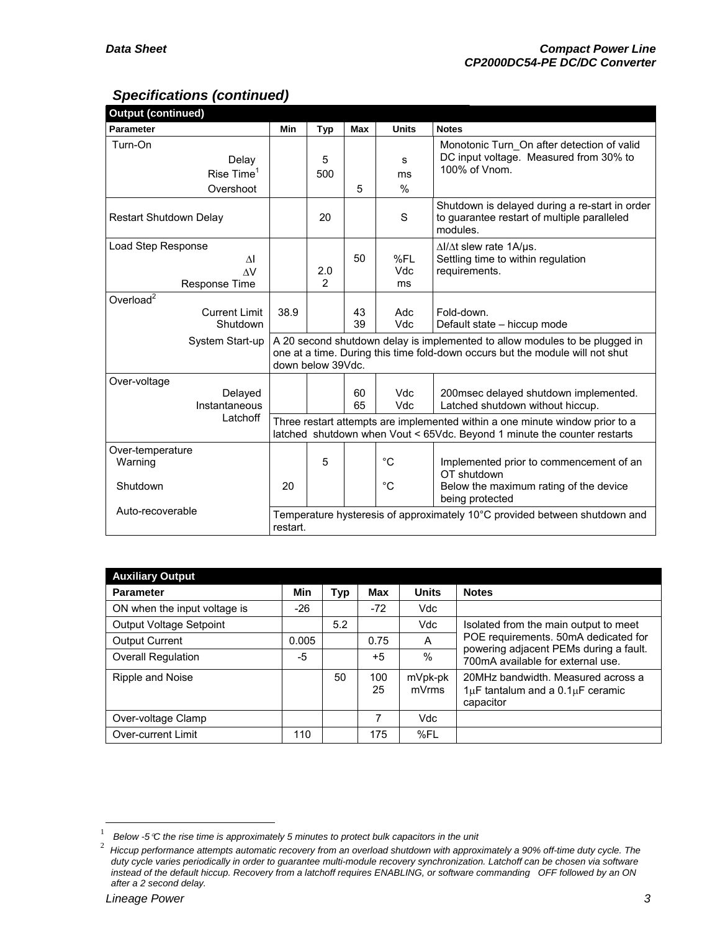# *Specifications (continued)*

| <b>Output (continued)</b>                                |                                                                                                                                                                                   |            |            |                   |                                                                                                                                                          |  |  |  |
|----------------------------------------------------------|-----------------------------------------------------------------------------------------------------------------------------------------------------------------------------------|------------|------------|-------------------|----------------------------------------------------------------------------------------------------------------------------------------------------------|--|--|--|
| <b>Parameter</b>                                         | Min                                                                                                                                                                               | <b>Typ</b> | <b>Max</b> | <b>Units</b>      | <b>Notes</b>                                                                                                                                             |  |  |  |
| Turn-On<br>Delay<br>Rise $Time1$<br>Overshoot            |                                                                                                                                                                                   | 5<br>500   | 5          | s<br>ms<br>%      | Monotonic Turn On after detection of valid<br>DC input voltage. Measured from 30% to<br>100% of Vnom.                                                    |  |  |  |
| <b>Restart Shutdown Delay</b>                            |                                                                                                                                                                                   | 20         |            | S                 | Shutdown is delayed during a re-start in order<br>to guarantee restart of multiple paralleled<br>modules.                                                |  |  |  |
| Load Step Response<br>ΛI<br>$\Lambda V$<br>Response Time |                                                                                                                                                                                   | 2.0<br>2   | 50         | %FL<br>Vdc<br>ms  | $\Delta I/\Delta t$ slew rate 1A/us.<br>Settling time to within regulation<br>requirements.                                                              |  |  |  |
| Overload $2$<br><b>Current Limit</b><br>Shutdown         | 38.9                                                                                                                                                                              |            | 43<br>39   | Adc<br>Vdc        | Fold-down.<br>Default state - hiccup mode                                                                                                                |  |  |  |
| System Start-up                                          | A 20 second shutdown delay is implemented to allow modules to be plugged in<br>one at a time. During this time fold-down occurs but the module will not shut<br>down below 39Vdc. |            |            |                   |                                                                                                                                                          |  |  |  |
| Over-voltage<br>Delayed<br>Instantaneous                 |                                                                                                                                                                                   |            | 60<br>65   | <b>Vdc</b><br>Vdc | 200msec delayed shutdown implemented.<br>Latched shutdown without hiccup.                                                                                |  |  |  |
| Latchoff                                                 |                                                                                                                                                                                   |            |            |                   | Three restart attempts are implemented within a one minute window prior to a<br>latched shutdown when Vout < 65Vdc. Beyond 1 minute the counter restarts |  |  |  |
| Over-temperature<br>Warning                              |                                                                                                                                                                                   | 5          |            | $^{\circ}C$       | Implemented prior to commencement of an<br>OT shutdown                                                                                                   |  |  |  |
| Shutdown                                                 | 20                                                                                                                                                                                |            |            | $^{\circ}C$       | Below the maximum rating of the device<br>being protected                                                                                                |  |  |  |
| Auto-recoverable                                         | Temperature hysteresis of approximately 10°C provided between shutdown and<br>restart.                                                                                            |            |            |                   |                                                                                                                                                          |  |  |  |

| <b>Auxiliary Output</b>      |       |     |           |                  |                                                                                               |
|------------------------------|-------|-----|-----------|------------------|-----------------------------------------------------------------------------------------------|
| <b>Parameter</b>             | Min   | Typ | Max       | <b>Units</b>     | <b>Notes</b>                                                                                  |
| ON when the input voltage is | $-26$ |     | $-72$     | Vdc              |                                                                                               |
| Output Voltage Setpoint      |       | 5.2 |           | Vdc              | Isolated from the main output to meet                                                         |
| <b>Output Current</b>        | 0.005 |     | 0.75      | A                | POE requirements. 50mA dedicated for                                                          |
| Overall Regulation           | -5    |     | $+5$      | $\%$             | powering adjacent PEMs during a fault.<br>700mA available for external use.                   |
| Ripple and Noise             |       | 50  | 100<br>25 | mVpk-pk<br>mVrms | 20MHz bandwidth. Measured across a<br>$1\mu$ F tantalum and a $0.1\mu$ F ceramic<br>capacitor |
| Over-voltage Clamp           |       |     | 7         | Vdc              |                                                                                               |
| Over-current Limit           | 110   |     | 175       | %FL              |                                                                                               |

 $\overline{a}$ 

<sup>1</sup> Below -5<sup>*°C* the rise time is approximately 5 minutes to protect bulk capacitors in the unit  $\frac{2}{\pi}$  Hiccup performance attempts automatic recovery from an overload shutdown with approx</sup>

*Hiccup performance attempts automatic recovery from an overload shutdown with approximately a 90% off-time duty cycle. The duty cycle varies periodically in order to guarantee multi-module recovery synchronization. Latchoff can be chosen via software instead of the default hiccup. Recovery from a latchoff requires ENABLING, or software commanding OFF followed by an ON after a 2 second delay.*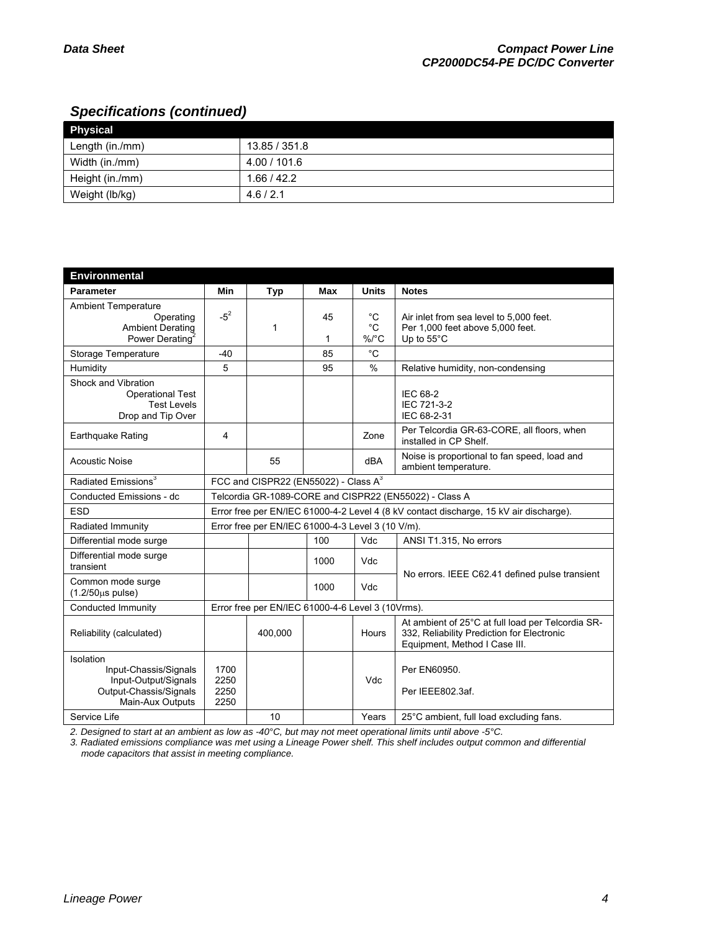# *Specifications (continued)*

| Physical        |               |
|-----------------|---------------|
| Length (in./mm) | 13.85 / 351.8 |
| Width (in./mm)  | 4.00 / 101.6  |
| Height (in./mm) | 1.66/42.2     |
| Weight (lb/kg)  | 4.6/2.1       |

| <b>Environmental</b>                                                                                     |                                                                                        |                                                   |         |                                         |                                                                                                                                  |  |  |
|----------------------------------------------------------------------------------------------------------|----------------------------------------------------------------------------------------|---------------------------------------------------|---------|-----------------------------------------|----------------------------------------------------------------------------------------------------------------------------------|--|--|
| <b>Parameter</b>                                                                                         | Min                                                                                    | <b>Typ</b>                                        | Max     | <b>Units</b>                            | <b>Notes</b>                                                                                                                     |  |  |
| <b>Ambient Temperature</b><br>Operating<br><b>Ambient Derating</b><br>Power Derating                     | $-5^{2}$                                                                               | 1                                                 | 45<br>1 | $^{\circ}$ C<br>$^{\circ}C$<br>$\%$ /°C | Air inlet from sea level to 5,000 feet.<br>Per 1,000 feet above 5,000 feet.<br>Up to $55^{\circ}$ C                              |  |  |
| Storage Temperature                                                                                      | $-40$                                                                                  |                                                   | 85      | $^{\circ}C$                             |                                                                                                                                  |  |  |
| Humidity                                                                                                 | 5                                                                                      |                                                   | 95      | $\%$                                    | Relative humidity, non-condensing                                                                                                |  |  |
| Shock and Vibration<br><b>Operational Test</b><br><b>Test Levels</b><br>Drop and Tip Over                |                                                                                        |                                                   |         |                                         | IEC 68-2<br>IEC 721-3-2<br>IEC 68-2-31                                                                                           |  |  |
| Earthquake Rating                                                                                        | 4                                                                                      |                                                   |         | Zone                                    | Per Telcordia GR-63-CORE, all floors, when<br>installed in CP Shelf.                                                             |  |  |
| <b>Acoustic Noise</b>                                                                                    |                                                                                        | 55                                                |         | dBA                                     | Noise is proportional to fan speed, load and<br>ambient temperature.                                                             |  |  |
| Radiated Emissions <sup>3</sup>                                                                          | FCC and CISPR22 (EN55022) - Class $A^3$                                                |                                                   |         |                                         |                                                                                                                                  |  |  |
| Conducted Emissions - dc                                                                                 | Telcordia GR-1089-CORE and CISPR22 (EN55022) - Class A                                 |                                                   |         |                                         |                                                                                                                                  |  |  |
| <b>ESD</b>                                                                                               | Error free per EN/IEC 61000-4-2 Level 4 (8 kV contact discharge, 15 kV air discharge). |                                                   |         |                                         |                                                                                                                                  |  |  |
| Radiated Immunity                                                                                        | Error free per EN/IEC 61000-4-3 Level 3 (10 V/m).                                      |                                                   |         |                                         |                                                                                                                                  |  |  |
| Differential mode surge                                                                                  |                                                                                        |                                                   | 100     | Vdc                                     | ANSI T1.315, No errors                                                                                                           |  |  |
| Differential mode surge<br>transient                                                                     |                                                                                        |                                                   | 1000    | Vdc                                     |                                                                                                                                  |  |  |
| Common mode surge<br>$(1.2/50 \mu s \text{ pulse})$                                                      |                                                                                        |                                                   | 1000    | Vdc                                     | No errors. IEEE C62.41 defined pulse transient                                                                                   |  |  |
| Conducted Immunity                                                                                       |                                                                                        | Error free per EN/IEC 61000-4-6 Level 3 (10Vrms). |         |                                         |                                                                                                                                  |  |  |
| Reliability (calculated)                                                                                 |                                                                                        | 400,000                                           |         | Hours                                   | At ambient of 25°C at full load per Telcordia SR-<br>332, Reliability Prediction for Electronic<br>Equipment, Method I Case III. |  |  |
| Isolation<br>Input-Chassis/Signals<br>Input-Output/Signals<br>Output-Chassis/Signals<br>Main-Aux Outputs | 1700<br>2250<br>2250<br>2250                                                           |                                                   |         | Vdc                                     | Per EN60950.<br>Per IEEE802.3af.                                                                                                 |  |  |
| Service Life                                                                                             |                                                                                        | 10                                                |         | Years                                   | 25°C ambient, full load excluding fans.                                                                                          |  |  |

*2. Designed to start at an ambient as low as -40°C, but may not meet operational limits until above -5°C.* 

*3. Radiated emissions compliance was met using a Lineage Power shelf. This shelf includes output common and differential mode capacitors that assist in meeting compliance.*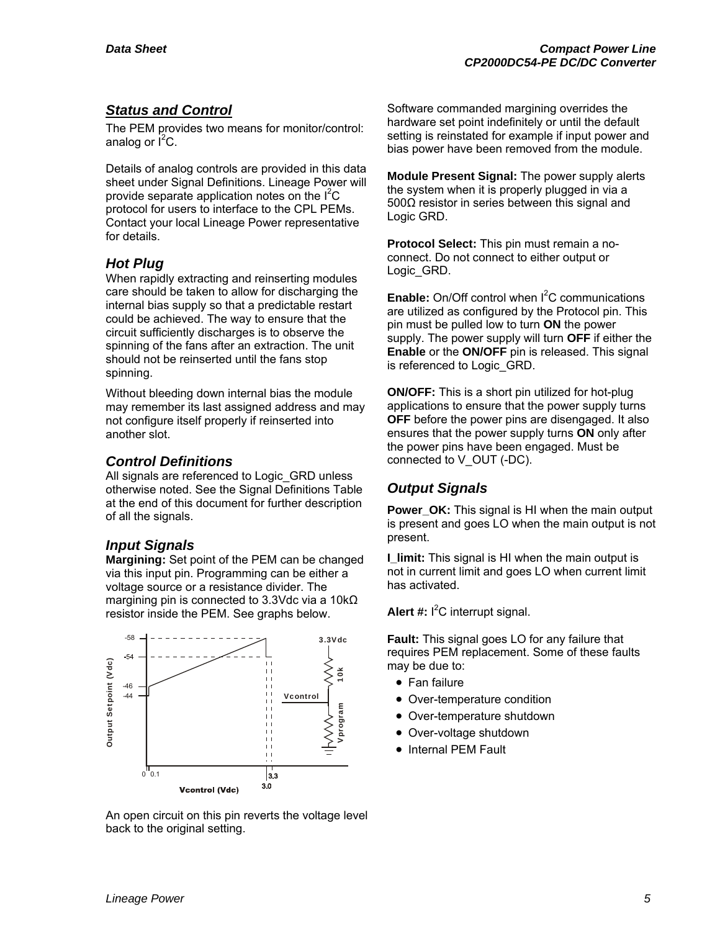# *Status and Control*

The PEM provides two means for monitor/control: analog or  $I^2C$ .

Details of analog controls are provided in this data sheet under Signal Definitions. Lineage Power will provide separate application notes on the  $I^2C$ protocol for users to interface to the CPL PEMs. Contact your local Lineage Power representative for details.

#### *Hot Plug*

When rapidly extracting and reinserting modules care should be taken to allow for discharging the internal bias supply so that a predictable restart could be achieved. The way to ensure that the circuit sufficiently discharges is to observe the spinning of the fans after an extraction. The unit should not be reinserted until the fans stop spinning.

Without bleeding down internal bias the module may remember its last assigned address and may not configure itself properly if reinserted into another slot.

#### *Control Definitions*

All signals are referenced to Logic GRD unless otherwise noted. See the Signal Definitions Table at the end of this document for further description of all the signals.

#### *Input Signals*

**Margining:** Set point of the PEM can be changed via this input pin. Programming can be either a voltage source or a resistance divider. The margining pin is connected to 3.3Vdc via a 10kΩ resistor inside the PEM. See graphs below.



An open circuit on this pin reverts the voltage level back to the original setting.

Software commanded margining overrides the hardware set point indefinitely or until the default setting is reinstated for example if input power and bias power have been removed from the module.

**Module Present Signal:** The power supply alerts the system when it is properly plugged in via a 500Ω resistor in series between this signal and Logic GRD.

**Protocol Select:** This pin must remain a noconnect. Do not connect to either output or Logic\_GRD.

Enable: On/Off control when I<sup>2</sup>C communications are utilized as configured by the Protocol pin. This pin must be pulled low to turn **ON** the power supply. The power supply will turn **OFF** if either the **Enable** or the **ON/OFF** pin is released. This signal is referenced to Logic GRD.

**ON/OFF:** This is a short pin utilized for hot-plug applications to ensure that the power supply turns **OFF** before the power pins are disengaged. It also ensures that the power supply turns **ON** only after the power pins have been engaged. Must be connected to V\_OUT (-DC).

# *Output Signals*

**Power\_OK:** This signal is HI when the main output is present and goes LO when the main output is not present.

**I** limit: This signal is HI when the main output is not in current limit and goes LO when current limit has activated.

Alert #: I<sup>2</sup>C interrupt signal.

**Fault:** This signal goes LO for any failure that requires PEM replacement. Some of these faults may be due to:

- Fan failure
- Over-temperature condition
- Over-temperature shutdown
- Over-voltage shutdown
- Internal PEM Fault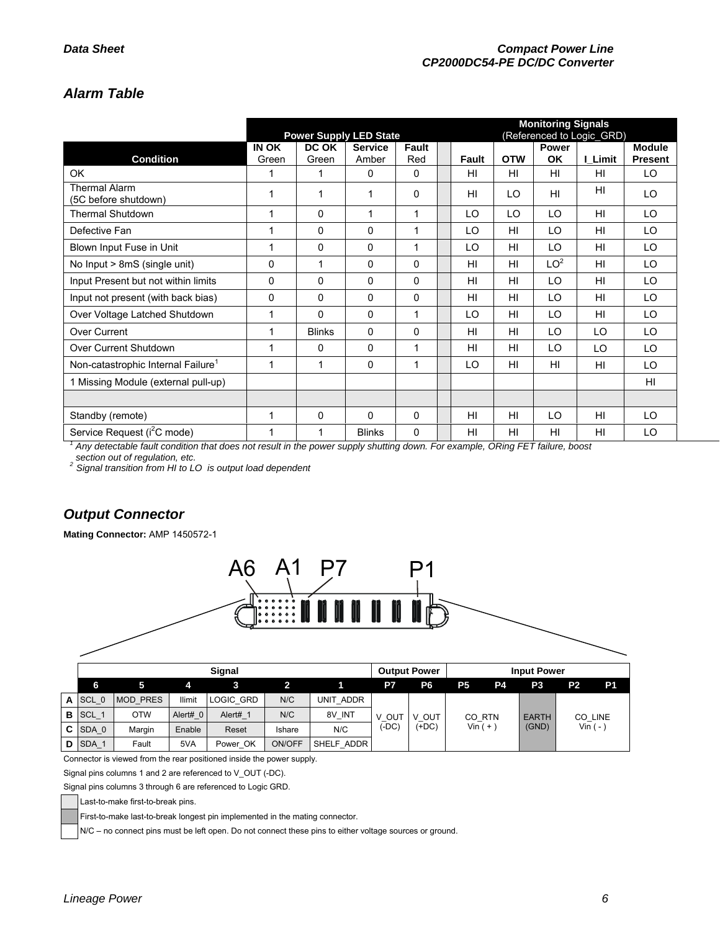# *Alarm Table*

|                                                | <b>Monitoring Signals</b><br><b>Power Supply LED State</b> |               |                |              |                                           |                |                |                 |               |                |
|------------------------------------------------|------------------------------------------------------------|---------------|----------------|--------------|-------------------------------------------|----------------|----------------|-----------------|---------------|----------------|
|                                                | IN OK                                                      | DC OK         | <b>Service</b> | <b>Fault</b> | (Referenced to Logic_GRD)<br><b>Power</b> |                |                |                 | <b>Module</b> |                |
| <b>Condition</b>                               | Green                                                      | Green         | Amber          | Red          |                                           | Fault          | <b>OTW</b>     | OK              | I Limit       | <b>Present</b> |
| OK                                             | 1                                                          | 1             | $\Omega$       | $\Omega$     |                                           | HI             | HI             | H <sub>II</sub> | HI            | LO             |
| <b>Thermal Alarm</b><br>(5C before shutdown)   | 1                                                          | 1             | 1              | $\Omega$     |                                           | HI             | LO             | H <sub>II</sub> | HI            | LO             |
| <b>Thermal Shutdown</b>                        | 1                                                          | 0             | 1              | 1            |                                           | LO             | LO             | LO              | HI            | LO             |
| Defective Fan                                  | 1                                                          | 0             | $\mathbf{0}$   | 1            |                                           | LO             | HI             | LO              | HI            | LO.            |
| Blown Input Fuse in Unit                       | 1                                                          | 0             | $\mathbf{0}$   | 1            |                                           | LO             | HI             | LO              | HI            | LO             |
| No Input > 8mS (single unit)                   | $\Omega$                                                   | 1             | $\Omega$       | $\Omega$     |                                           | HI             | HI             | LO <sup>2</sup> | HI            | LO             |
| Input Present but not within limits            | 0                                                          | 0             | 0              | $\Omega$     |                                           | H <sub>l</sub> | HI             | LO              | HI            | LO             |
| Input not present (with back bias)             | 0                                                          | 0             | $\mathbf 0$    | $\mathbf 0$  |                                           | HI             | HI             | LO              | HI            | LO             |
| Over Voltage Latched Shutdown                  | 1                                                          | $\Omega$      | $\Omega$       | 1            |                                           | LO             | HI             | LO              | HI            | LO             |
| Over Current                                   | 1                                                          | <b>Blinks</b> | $\Omega$       | $\Omega$     |                                           | HI             | HI             | LO              | LO            | LO             |
| Over Current Shutdown                          | 1                                                          | 0             | $\Omega$       | 1            |                                           | HI             | HI             | LO              | LO            | LO             |
| Non-catastrophic Internal Failure <sup>1</sup> | 1                                                          | 1             | 0              | 1            |                                           | LO             | HI             | H <sub>II</sub> | HI            | LO             |
| 1 Missing Module (external pull-up)            |                                                            |               |                |              |                                           |                |                |                 |               | HI             |
|                                                |                                                            |               |                |              |                                           |                |                |                 |               |                |
| Standby (remote)                               | 1                                                          | 0             | $\Omega$       | $\Omega$     |                                           | H <sub>l</sub> | H <sub>l</sub> | LO              | HI            | LO             |
| Service Request (i <sup>2</sup> C mode)        | 1                                                          | 1             | <b>Blinks</b>  | $\Omega$     |                                           | HI             | HI             | HI              | HI            | LO             |

<sup>1</sup> Any detectable fault condition that does not result in the power supply shutting down. For example, ORing FET failure, boost

*section out of regulation, etc. 2 Signal transition from HI to LO is output load dependent*

# *Output Connector*

**Mating Connector:** AMP 1450572-1



Connector is viewed from the rear positioned inside the power supply.

Signal pins columns 1 and 2 are referenced to V\_OUT (-DC).

Signal pins columns 3 through 6 are referenced to Logic GRD.

Last-to-make first-to-break pins.

First-to-make last-to-break longest pin implemented in the mating connector.

N/C – no connect pins must be left open. Do not connect these pins to either voltage sources or ground.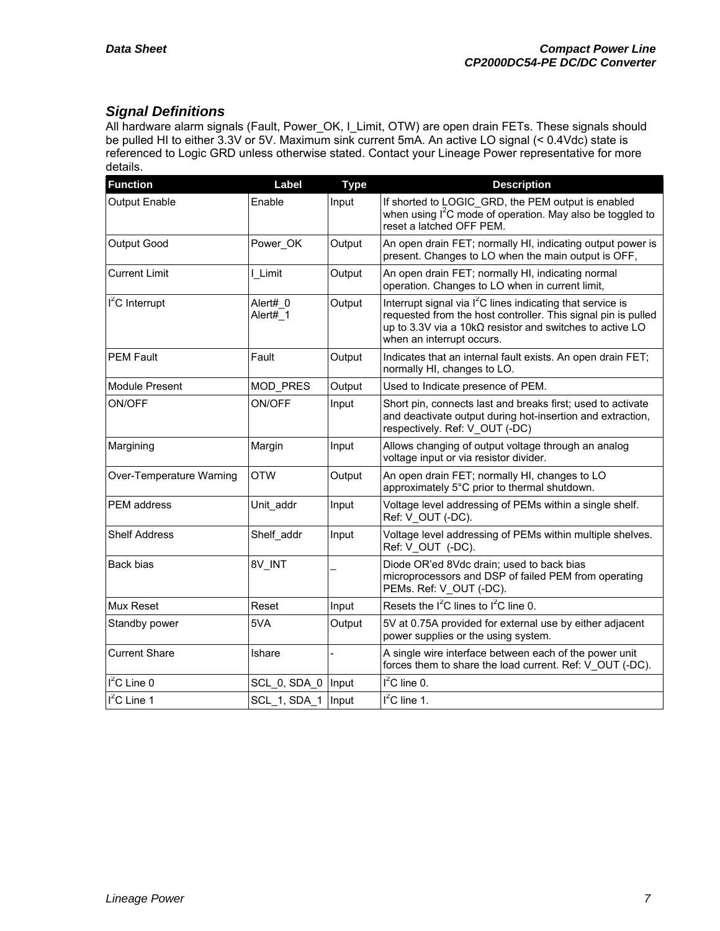# *Signal Definitions*

All hardware alarm signals (Fault, Power\_OK, I\_Limit, OTW) are open drain FETs. These signals should be pulled HI to either 3.3V or 5V. Maximum sink current 5mA. An active LO signal (< 0.4Vdc) state is referenced to Logic GRD unless otherwise stated. Contact your Lineage Power representative for more details.

| <b>Function</b>          | Label                | <b>Type</b> | <b>Description</b>                                                                                                                                                                                                               |
|--------------------------|----------------------|-------------|----------------------------------------------------------------------------------------------------------------------------------------------------------------------------------------------------------------------------------|
| <b>Output Enable</b>     | Enable               | Input       | If shorted to LOGIC GRD, the PEM output is enabled<br>when using I <sup>2</sup> C mode of operation. May also be toggled to<br>reset a latched OFF PEM.                                                                          |
| Output Good              | Power OK             | Output      | An open drain FET; normally HI, indicating output power is<br>present. Changes to LO when the main output is OFF,                                                                                                                |
| <b>Current Limit</b>     | I Limit              | Output      | An open drain FET; normally HI, indicating normal<br>operation. Changes to LO when in current limit,                                                                                                                             |
| $I2C$ Interrupt          | Alert# 0<br>Alert# 1 | Output      | Interrupt signal via l <sup>2</sup> C lines indicating that service is<br>requested from the host controller. This signal pin is pulled<br>up to 3.3V via a 10kΩ resistor and switches to active LO<br>when an interrupt occurs. |
| <b>PEM Fault</b>         | Fault                | Output      | Indicates that an internal fault exists. An open drain FET;<br>normally HI, changes to LO.                                                                                                                                       |
| Module Present           | <b>MOD PRES</b>      | Output      | Used to Indicate presence of PEM.                                                                                                                                                                                                |
| ON/OFF                   | ON/OFF               | Input       | Short pin, connects last and breaks first; used to activate<br>and deactivate output during hot-insertion and extraction,<br>respectively. Ref: V OUT (-DC)                                                                      |
| Margining                | Margin               | Input       | Allows changing of output voltage through an analog<br>voltage input or via resistor divider.                                                                                                                                    |
| Over-Temperature Warning | <b>OTW</b>           | Output      | An open drain FET; normally HI, changes to LO<br>approximately 5°C prior to thermal shutdown.                                                                                                                                    |
| <b>PEM</b> address       | Unit addr            | Input       | Voltage level addressing of PEMs within a single shelf.<br>Ref: V OUT (-DC).                                                                                                                                                     |
| <b>Shelf Address</b>     | Shelf_addr           | Input       | Voltage level addressing of PEMs within multiple shelves.<br>Ref: V OUT (-DC).                                                                                                                                                   |
| Back bias                | 8V INT               |             | Diode OR'ed 8Vdc drain; used to back bias<br>microprocessors and DSP of failed PEM from operating<br>PEMs. Ref: V_OUT (-DC).                                                                                                     |
| Mux Reset                | Reset                | Input       | Resets the $I^2C$ lines to $I^2C$ line 0.                                                                                                                                                                                        |
| Standby power            | 5VA                  | Output      | 5V at 0.75A provided for external use by either adjacent<br>power supplies or the using system.                                                                                                                                  |
| <b>Current Share</b>     | Ishare               |             | A single wire interface between each of the power unit<br>forces them to share the load current. Ref: V OUT (-DC).                                                                                                               |
| $I2C$ Line 0             | SCL 0, SDA 0   Input |             | $I2C$ line 0.                                                                                                                                                                                                                    |
| I <sup>2</sup> C Line 1  | SCL 1, SDA 1   Input |             | $I^2C$ line 1.                                                                                                                                                                                                                   |